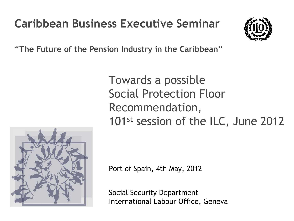# **Caribbean Business Executive Seminar**



**"The Future of the Pension Industry in the Caribbean"**

Towards a possible Social Protection Floor Recommendation, 101st session of the ILC, June 2012



Port of Spain, 4th May, 2012

Social Security Department International Labour Office, Geneva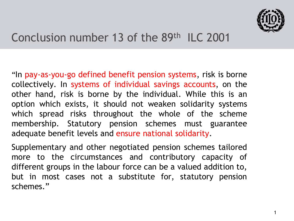

#### Conclusion number 13 of the 89th ILC 2001

"In pay-as-you-go defined benefit pension systems, risk is borne collectively. In systems of individual savings accounts, on the other hand, risk is borne by the individual. While this is an option which exists, it should not weaken solidarity systems which spread risks throughout the whole of the scheme membership. Statutory pension schemes must guarantee adequate benefit levels and ensure national solidarity.

Supplementary and other negotiated pension schemes tailored more to the circumstances and contributory capacity of different groups in the labour force can be a valued addition to, but in most cases not a substitute for, statutory pension schemes."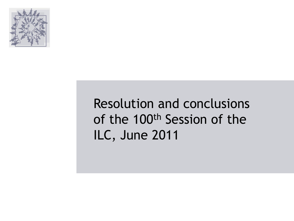

# Resolution and conclusions of the 100th Session of the ILC, June 2011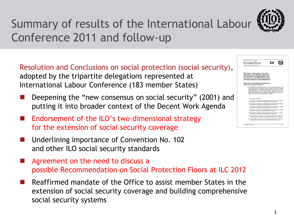

# Summary of results of the International Labour Conference 2011 and follow-up

Resolution and Conclusions on social protection (social security), adopted by the tripartite delegations represented at International Labour Conference (183 member States)

- Deepening the "new consensus on social security" (2001) and putting it into broader context of the Decent Work Agenda
- Endorsement of the ILO's two-dimensional strategy for the extension of social security coverage
- Underlining importance of Convention No. 102 and other ILO social security standards
- Agreement on the need to discuss a possible Recommendation on Social Protection Floors at ILC 2012
- Reaffirmed mandate of the Office to assist member States in the extension of social security coverage and building comprehensive social security systems

| 100th Session, Geneva, June 2011                                                                                                                                                                                                                                                                                                                                                                                                                                                                                                                                                                        |  |
|---------------------------------------------------------------------------------------------------------------------------------------------------------------------------------------------------------------------------------------------------------------------------------------------------------------------------------------------------------------------------------------------------------------------------------------------------------------------------------------------------------------------------------------------------------------------------------------------------------|--|
| Sixth item on the agenda: A recurrent<br>discussion on the strategic objective of<br>social protection (social security) under<br>the follow-up to the 2008 ILO Declaration<br>on Social Justice for a Fair Globalization                                                                                                                                                                                                                                                                                                                                                                               |  |
| Report of the Committee for the Recurrent<br>Discussion on Social Protection                                                                                                                                                                                                                                                                                                                                                                                                                                                                                                                            |  |
| 1. The Committee for the Recurrent Discussion on Social Protection (social security), set up<br>by the Conference at its first sitting on 1 June 2011, initially consisted of 198 members<br>(96 Government members, 33 Employer members and 69 Wecker members). To achieve<br>equality of strength, each Government member extitled to vote was allowed 759 votes.<br>each Employer member 2.162 votes and each Worker member 1.034 votes. The<br>competition of the Committee was modified veven times during the seniors and the<br>pumber of votes attributed to each member adjusted accordingly." |  |
|                                                                                                                                                                                                                                                                                                                                                                                                                                                                                                                                                                                                         |  |
| "The modifications were as follows:                                                                                                                                                                                                                                                                                                                                                                                                                                                                                                                                                                     |  |
| (b) I June (airting 2): 214 members (101 Government members with 900 votes each, 36 Eugslewer<br>members with 2,525 votes each and 75 Wedner members with 1,212 votes each);                                                                                                                                                                                                                                                                                                                                                                                                                            |  |
| (b) 2 June (uiting 3): 215 members (101 Gevernment members with 654 votes each. 16 Employer<br>mentions with 1.010 years anch and 76 Weeker members with 600 years auch).                                                                                                                                                                                                                                                                                                                                                                                                                               |  |
| (c) 2 June (sitting 5): 188 members (101 Government members with 1.764 votes each, 36 Exceleyer<br>menher with 4.040 years each and 40 Window members with 3.636 years each);                                                                                                                                                                                                                                                                                                                                                                                                                           |  |
| (f) 3 June (1983); 7): 194 members (102 Government members with 13 years each, 10 Egyptewar<br>members with 34 years each and 51 Worker members with 36 years each):                                                                                                                                                                                                                                                                                                                                                                                                                                    |  |
| (a) 3 June (tables 9); 184 peoplers (106 Government members with 66 years each, 33 Emplement<br>mentions with 212 years auch and 44 Worker members with 159 years each).                                                                                                                                                                                                                                                                                                                                                                                                                                |  |
| (f) 9 June (ultima 10): 125 members (109 Geverances members with 1.320 vetes each.<br>11 Employer members with 4,360 veter ench and 40 Weeker members with 3,597 votes anchi-                                                                                                                                                                                                                                                                                                                                                                                                                           |  |
| (g) 11 June (utting 12): 187 members (110 Gersenmant members with 123 votes each:<br>33 Employer members with 410 years each and 41 Weeker members with 330 years each).                                                                                                                                                                                                                                                                                                                                                                                                                                |  |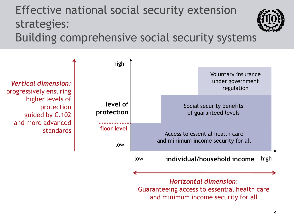#### Effective national social security extension strategies: Building comprehensive social security systems



*Horizontal dimension*: Guaranteeing access to essential health care and minimum income security for all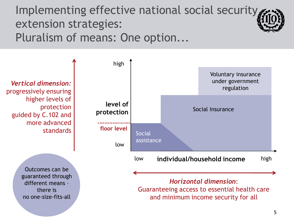Implementing effective national social security extension strategies: Pluralism of means: One option...

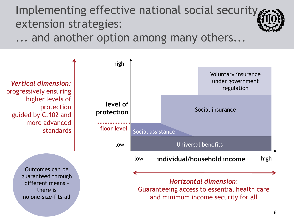Implementing effective national social security extension strategies:

... and another option among many others...

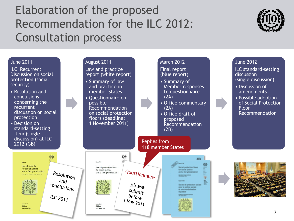### Elaboration of the proposed Recommendation for the ILC 2012: Consultation process



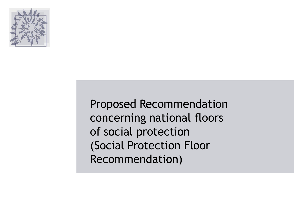

Proposed Recommendation concerning national floors of social protection (Social Protection Floor Recommendation)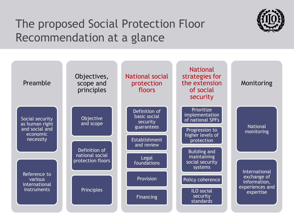### The proposed Social Protection Floor Recommendation at a glance



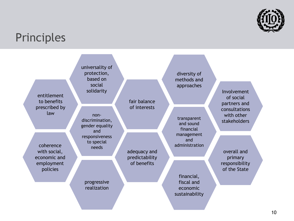

#### **Principles**

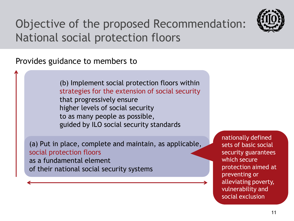

# Objective of the proposed Recommendation: National social protection floors

Provides guidance to members to

(b) Implement social protection floors within strategies for the extension of social security that progressively ensure higher levels of social security to as many people as possible, guided by ILO social security standards

(a) Put in place, complete and maintain, as applicable, social protection floors as a fundamental element of their national social security systems

nationally defined sets of basic social security guarantees which secure protection aimed at preventing or alleviating poverty, vulnerability and social exclusion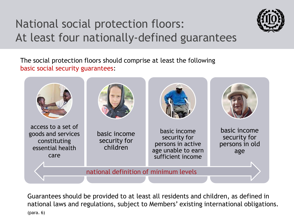# National social protection floors: At least four nationally-defined guarantees



The social protection floors should comprise at least the following basic social security guarantees:



Guarantees should be provided to at least all residents and children, as defined in national laws and regulations, subject to Members' existing international obligations. (para. 6)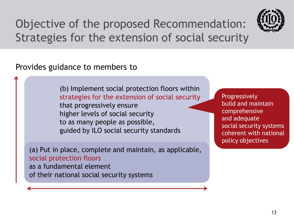

Objective of the proposed Recommendation: Strategies for the extension of social security

Provides guidance to members to

(b) Implement social protection floors within strategies for the extension of social security that progressively ensure higher levels of social security to as many people as possible, guided by ILO social security standards

(a) Put in place, complete and maintain, as applicable, social protection floors as a fundamental element of their national social security systems

Progressively build and maintain comprehensive and adequate social security systems coherent with national policy objectives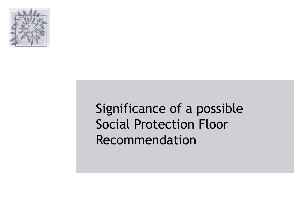

# Significance of a possible Social Protection Floor Recommendation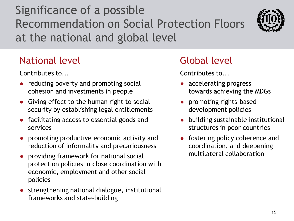# Significance of a possible Recommendation on Social Protection Floors at the national and global level



#### National level and Global level

Contributes to...

- reducing poverty and promoting social cohesion and investments in people
- Giving effect to the human right to social security by establishing legal entitlements
- facilitating access to essential goods and services
- promoting productive economic activity and reduction of informality and precariousness
- providing framework for national social protection policies in close coordination with economic, employment and other social policies
- strengthening national dialogue, institutional frameworks and state-building

Contributes to...

- accelerating progress towards achieving the MDGs
- promoting rights-based development policies
- building sustainable institutional structures in poor countries
- fostering policy coherence and coordination, and deepening multilateral collaboration